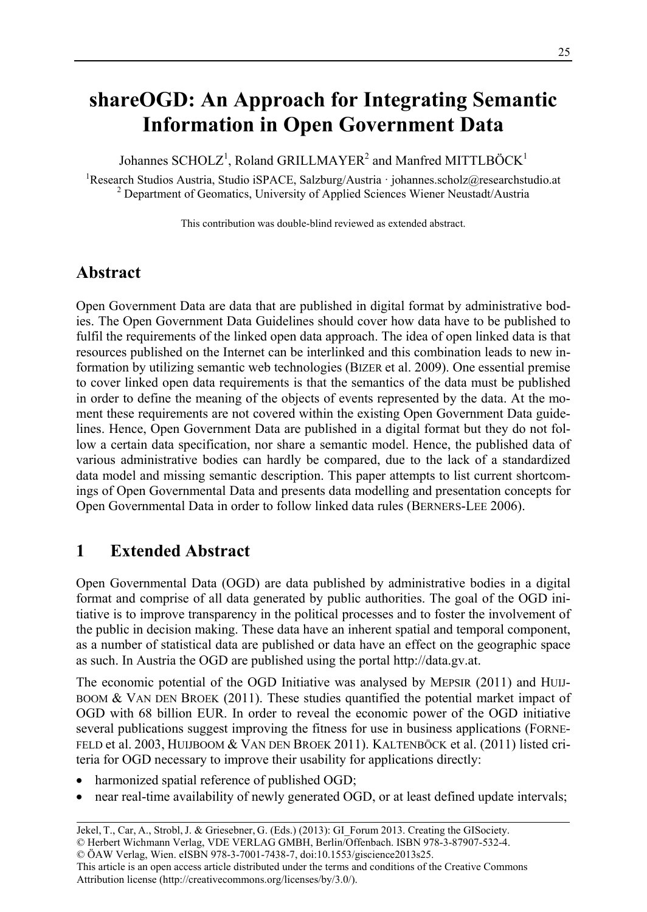## **shareOGD: An Approach for Integrating Semantic Information in Open Government Data**

Johannes SCHOLZ<sup>1</sup>, Roland GRILLMAYER<sup>2</sup> and Manfred MITTLBÖCK<sup>1</sup>

<sup>1</sup>Research Studios Austria, Studio iSPACE, Salzburg/Austria · johannes.scholz@researchstudio.at <sup>2</sup><br><sup>2</sup> Department of Geometics, University of Applied Sciences Wiener Neustedt/Austria <sup>2</sup> Department of Geomatics, University of Applied Sciences Wiener Neustadt/Austria

This contribution was double-blind reviewed as extended abstract.

## **Abstract**

Open Government Data are data that are published in digital format by administrative bodies. The Open Government Data Guidelines should cover how data have to be published to fulfil the requirements of the linked open data approach. The idea of open linked data is that resources published on the Internet can be interlinked and this combination leads to new information by utilizing semantic web technologies (BIZER et al. 2009). One essential premise to cover linked open data requirements is that the semantics of the data must be published in order to define the meaning of the objects of events represented by the data. At the moment these requirements are not covered within the existing Open Government Data guidelines. Hence, Open Government Data are published in a digital format but they do not follow a certain data specification, nor share a semantic model. Hence, the published data of various administrative bodies can hardly be compared, due to the lack of a standardized data model and missing semantic description. This paper attempts to list current shortcomings of Open Governmental Data and presents data modelling and presentation concepts for Open Governmental Data in order to follow linked data rules (BERNERS-LEE 2006).

## **1 Extended Abstract**

Open Governmental Data (OGD) are data published by administrative bodies in a digital format and comprise of all data generated by public authorities. The goal of the OGD initiative is to improve transparency in the political processes and to foster the involvement of the public in decision making. These data have an inherent spatial and temporal component, as a number of statistical data are published or data have an effect on the geographic space as such. In Austria the OGD are published using the portal http://data.gv.at.

The economic potential of the OGD Initiative was analysed by MEPSIR (2011) and HUIJ-BOOM  $&$  VAN DEN BROEK (2011). These studies quantified the potential market impact of OGD with 68 billion EUR. In order to reveal the economic power of the OGD initiative several publications suggest improving the fitness for use in business applications (FORNE-FELD et al. 2003, HUIJBOOM & VAN DEN BROEK 2011). KALTENBÖCK et al. (2011) listed criteria for OGD necessary to improve their usability for applications directly:

- harmonized spatial reference of published OGD;
- near real-time availability of newly generated OGD, or at least defined update intervals;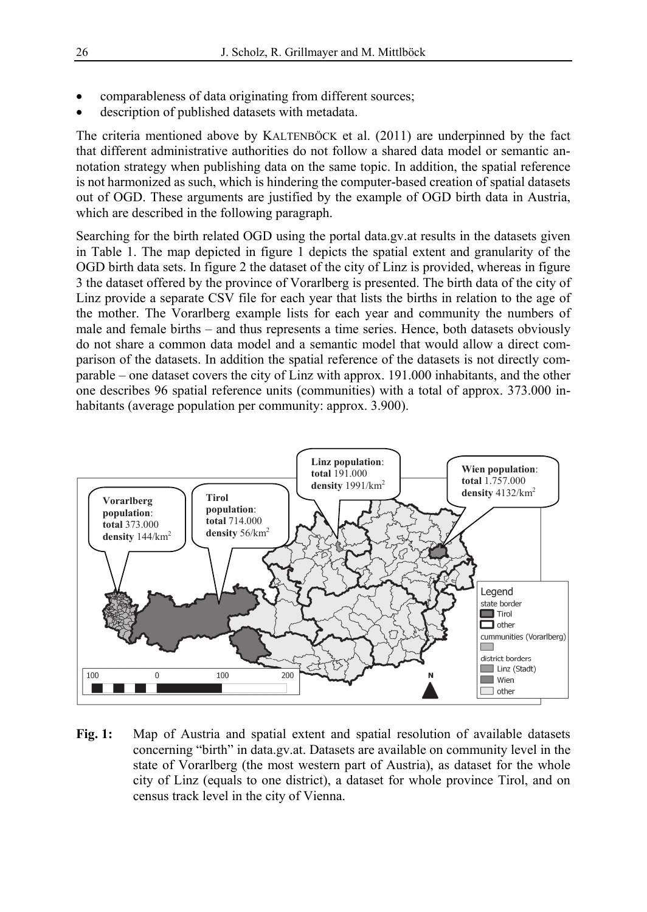- comparableness of data originating from different sources;
- description of published datasets with metadata.

The criteria mentioned above by KALTENBÖCK et al. (2011) are underpinned by the fact that different administrative authorities do not follow a shared data model or semantic annotation strategy when publishing data on the same topic. In addition, the spatial reference is not harmonized as such, which is hindering the computer-based creation of spatial datasets out of OGD. These arguments are justified by the example of OGD birth data in Austria, which are described in the following paragraph.

Searching for the birth related OGD using the portal data.gv.at results in the datasets given in Table 1. The map depicted in figure 1 depicts the spatial extent and granularity of the OGD birth data sets. In figure 2 the dataset of the city of Linz is provided, whereas in figure 3 the dataset offered by the province of Vorarlberg is presented. The birth data of the city of Linz provide a separate CSV file for each year that lists the births in relation to the age of the mother. The Vorarlberg example lists for each year and community the numbers of male and female births – and thus represents a time series. Hence, both datasets obviously do not share a common data model and a semantic model that would allow a direct comparison of the datasets. In addition the spatial reference of the datasets is not directly comparable – one dataset covers the city of Linz with approx. 191.000 inhabitants, and the other one describes 96 spatial reference units (communities) with a total of approx. 373.000 inhabitants (average population per community: approx. 3.900).



**Fig. 1:** Map of Austria and spatial extent and spatial resolution of available datasets concerning "birth" in data.gv.at. Datasets are available on community level in the state of Vorarlberg (the most western part of Austria), as dataset for the whole city of Linz (equals to one district), a dataset for whole province Tirol, and on census track level in the city of Vienna.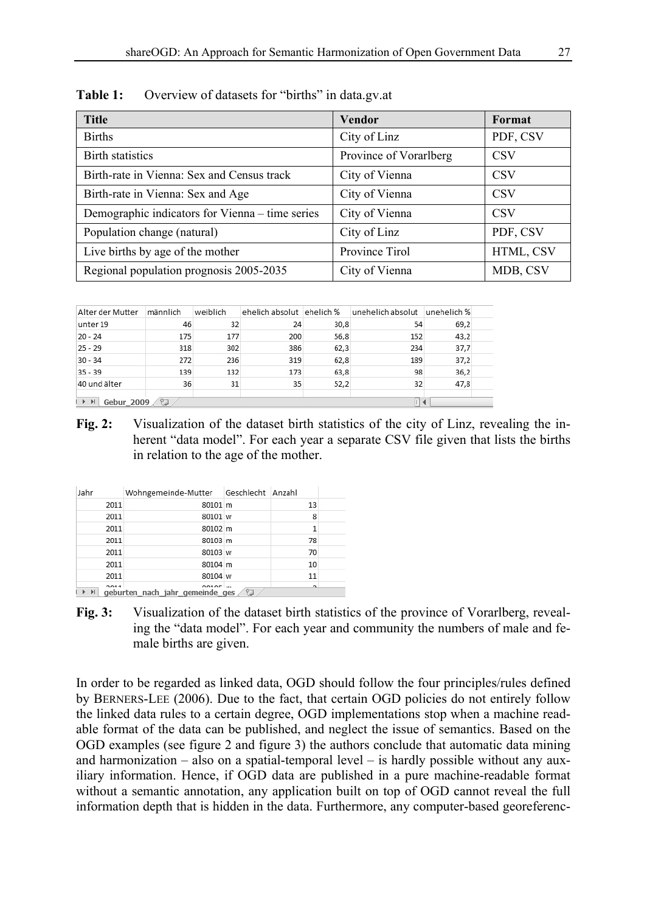| <b>Title</b>                                    | Vendor                 | Format     |
|-------------------------------------------------|------------------------|------------|
| <b>Births</b>                                   | City of Linz           | PDF, CSV   |
| <b>Birth statistics</b>                         | Province of Vorarlberg | <b>CSV</b> |
| Birth-rate in Vienna: Sex and Census track      | City of Vienna         | <b>CSV</b> |
| Birth-rate in Vienna: Sex and Age               | City of Vienna         | <b>CSV</b> |
| Demographic indicators for Vienna - time series | City of Vienna         | <b>CSV</b> |
| Population change (natural)                     | City of Linz           | PDF, CSV   |
| Live births by age of the mother                | Province Tirol         | HTML, CSV  |
| Regional population prognosis 2005-2035         | City of Vienna         | MDB, CSV   |

Table 1: Overview of datasets for "births" in data.gv.at

| Alter der Mutter              | männlich | weiblich | ehelich absolut ehelich % |      | unehelich absolut | unehelich % |
|-------------------------------|----------|----------|---------------------------|------|-------------------|-------------|
| unter 19                      | 46       | 32       | 24                        | 30,8 | 54                | 69,2        |
| $20 - 24$                     | 175      | 177      | 200                       | 56,8 | 152               | 43,2        |
| $25 - 29$                     | 318      | 302      | 386                       | 62,3 | 234               | 37,7        |
| $30 - 34$                     | 272      | 236      | 319                       | 62,8 | 189               | 37,2        |
| $35 - 39$                     | 139      | 132      | 173                       | 63,8 | 98                | 36,2        |
| 40 und älter                  | 36       | 31       | 35                        | 52,2 | 32                | 47,8        |
| $H \rightarrow$<br>Gebur 2009 |          |          |                           |      |                   |             |

**Fig. 2:** Visualization of the dataset birth statistics of the city of Linz, revealing the inherent "data model". For each year a separate CSV file given that lists the births in relation to the age of the mother.

| Jahr            | Wohngemeinde-Mutter Geschlecht Anzahl          |      |                |
|-----------------|------------------------------------------------|------|----------------|
| 2011            | 80101 m                                        |      | 13             |
| 2011            | 80101 w                                        |      | 8              |
| 2011            | 80102 m                                        |      |                |
| 2011            | 80103 m                                        |      | 78             |
| 2011            | 80103 w                                        |      | 70             |
| 2011            | 80104 m                                        |      | 10             |
| 2011            | 80104 w                                        |      | 11             |
| 2011<br>$+$ $+$ | $00105 - 1$<br>geburten nach jahr gemeinde ges | - 10 | $\overline{ }$ |

Fig. 3: Visualization of the dataset birth statistics of the province of Vorarlberg, reveal-

ing the "data model". For each year and community the numbers of male and female births are given.

In order to be regarded as linked data, OGD should follow the four principles/rules defined by BERNERS-LEE (2006). Due to the fact, that certain OGD policies do not entirely follow the linked data rules to a certain degree, OGD implementations stop when a machine readable format of the data can be published, and neglect the issue of semantics. Based on the OGD examples (see figure 2 and figure 3) the authors conclude that automatic data mining and harmonization – also on a spatial-temporal level – is hardly possible without any auxiliary information. Hence, if OGD data are published in a pure machine-readable format without a semantic annotation, any application built on top of OGD cannot reveal the full information depth that is hidden in the data. Furthermore, any computer-based georeferenc